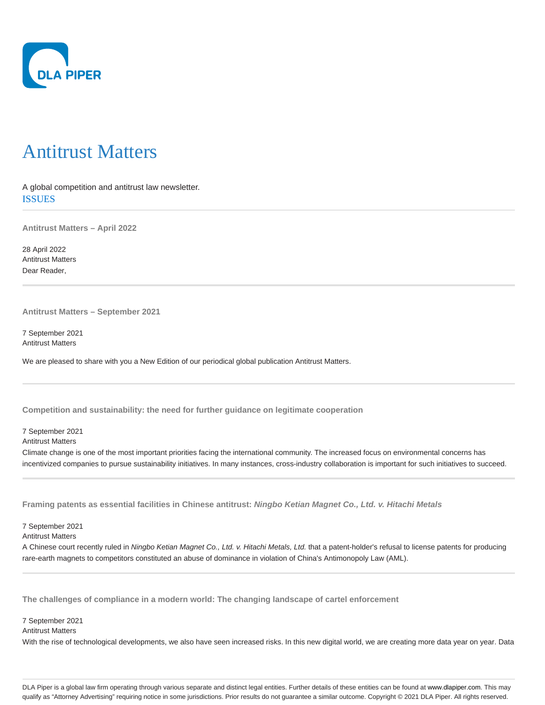

## Antitrust Matters

A global competition and antitrust law newsletter. ISSUES

**Antitrust Matters – April 2022**

28 April 2022 Antitrust Matters Dear Reader,

**Antitrust Matters – September 2021**

7 September 2021 Antitrust Matters

We are pleased to share with you a New Edition of our periodical global publication Antitrust Matters.

**Competition and sustainability: the need for further guidance on legitimate cooperation**

7 September 2021

Antitrust Matters

Climate change is one of the most important priorities facing the international community. The increased focus on environmental concerns has incentivized companies to pursue sustainability initiatives. In many instances, cross-industry collaboration is important for such initiatives to succeed.

**Framing patents as essential facilities in Chinese antitrust: Ningbo Ketian Magnet Co., Ltd. v. Hitachi Metals**

7 September 2021

Antitrust Matters

A Chinese court recently ruled in Ningbo Ketian Magnet Co., Ltd. v. Hitachi Metals, Ltd. that a patent-holder's refusal to license patents for producing rare-earth magnets to competitors constituted an abuse of dominance in violation of China's Antimonopoly Law (AML).

**The challenges of compliance in a modern world: The changing landscape of cartel enforcement**

7 September 2021

Antitrust Matters

With the rise of technological developments, we also have seen increased risks. In this new digital world, we are creating more data year on year. Data

DLA Piper is a global law firm operating through various separate and distinct legal entities. Further details of these entities can be found at www.dlapiper.com. This may qualify as "Attorney Advertising" requiring notice in some jurisdictions. Prior results do not guarantee a similar outcome. Copyright @ 2021 DLA Piper. All rights reserved.